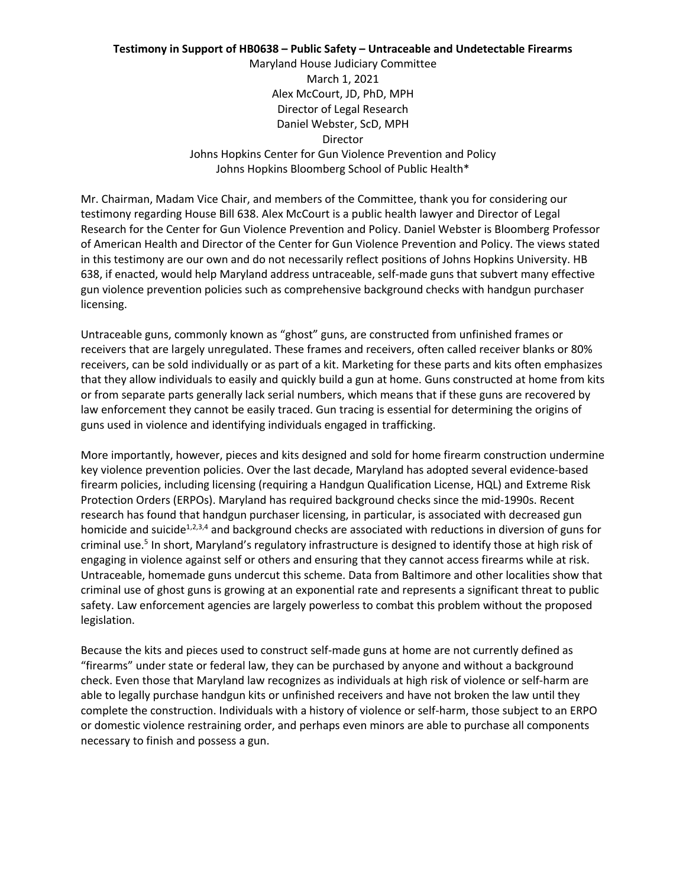## **Testimony in Support of HB0638 – Public Safety – Untraceable and Undetectable Firearms**

Maryland House Judiciary Committee March 1, 2021 Alex McCourt, JD, PhD, MPH Director of Legal Research Daniel Webster, ScD, MPH Director Johns Hopkins Center for Gun Violence Prevention and Policy Johns Hopkins Bloomberg School of Public Health\*

Mr. Chairman, Madam Vice Chair, and members of the Committee, thank you for considering our testimony regarding House Bill 638. Alex McCourt is a public health lawyer and Director of Legal Research for the Center for Gun Violence Prevention and Policy. Daniel Webster is Bloomberg Professor of American Health and Director of the Center for Gun Violence Prevention and Policy. The views stated in this testimony are our own and do not necessarily reflect positions of Johns Hopkins University. HB 638, if enacted, would help Maryland address untraceable, self-made guns that subvert many effective gun violence prevention policies such as comprehensive background checks with handgun purchaser licensing.

Untraceable guns, commonly known as "ghost" guns, are constructed from unfinished frames or receivers that are largely unregulated. These frames and receivers, often called receiver blanks or 80% receivers, can be sold individually or as part of a kit. Marketing for these parts and kits often emphasizes that they allow individuals to easily and quickly build a gun at home. Guns constructed at home from kits or from separate parts generally lack serial numbers, which means that if these guns are recovered by law enforcement they cannot be easily traced. Gun tracing is essential for determining the origins of guns used in violence and identifying individuals engaged in trafficking.

More importantly, however, pieces and kits designed and sold for home firearm construction undermine key violence prevention policies. Over the last decade, Maryland has adopted several evidence-based firearm policies, including licensing (requiring a Handgun Qualification License, HQL) and Extreme Risk Protection Orders (ERPOs). Maryland has required background checks since the mid-1990s. Recent research has found that handgun purchaser licensing, in particular, is associated with decreased gun homicide and suicide<sup>1,2,3,4</sup> and background checks are associated with reductions in diversion of guns for criminal use.<sup>5</sup> In short, Maryland's regulatory infrastructure is designed to identify those at high risk of engaging in violence against self or others and ensuring that they cannot access firearms while at risk. Untraceable, homemade guns undercut this scheme. Data from Baltimore and other localities show that criminal use of ghost guns is growing at an exponential rate and represents a significant threat to public safety. Law enforcement agencies are largely powerless to combat this problem without the proposed legislation.

Because the kits and pieces used to construct self-made guns at home are not currently defined as "firearms" under state or federal law, they can be purchased by anyone and without a background check. Even those that Maryland law recognizes as individuals at high risk of violence or self-harm are able to legally purchase handgun kits or unfinished receivers and have not broken the law until they complete the construction. Individuals with a history of violence or self-harm, those subject to an ERPO or domestic violence restraining order, and perhaps even minors are able to purchase all components necessary to finish and possess a gun.